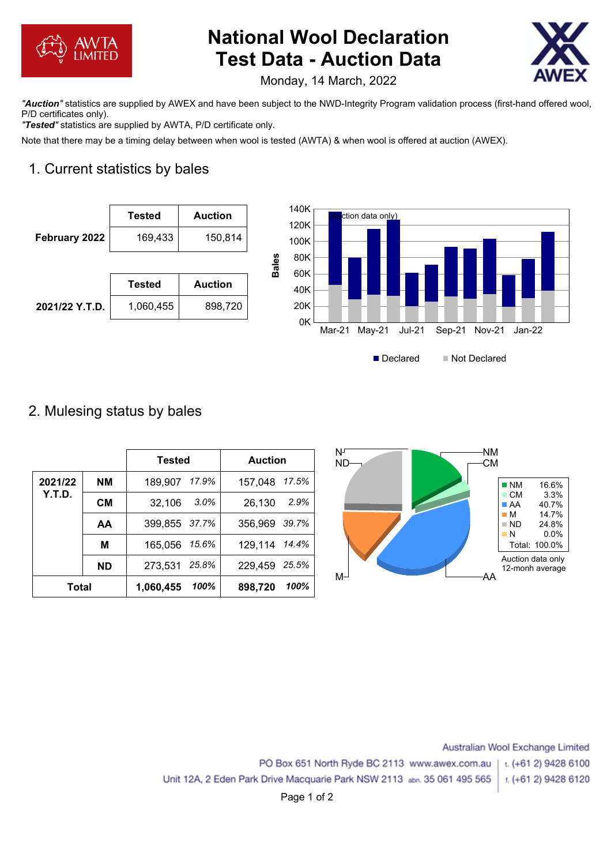

# **National Wool Declaration Test Data - Auction Data**



Monday, 14 March, 2022

*"Auction"* statistics are supplied by AWEX and have been subject to the NWD-Integrity Program validation process (first-hand offered wool, P/D certificates only).

*"Tested"* statistics are supplied by AWTA, P/D certificate only.

Note that there may be a timing delay between when wool is tested (AWTA) & when wool is offered at auction (AWEX).

# 1. Current statistics by bales





## 2. Mulesing status by bales

|         |           | Tested        |         | <b>Auction</b> |       |
|---------|-----------|---------------|---------|----------------|-------|
| 2021/22 | <b>NM</b> | 189,907       | 17.9%   | 157,048        | 17.5% |
| Y.T.D.  | <b>CM</b> | 32,106        | $3.0\%$ | 26,130         | 2.9%  |
|         | AA        | 399,855 37.7% |         | 356,969        | 39.7% |
|         | M         | 165,056       | 15.6%   | 129,114 14.4%  |       |
|         | <b>ND</b> | 273,531       | 25.8%   | 229,459        | 25.5% |
| Total   |           | 1,060,455     | 100%    | 898,720        | 100%  |



Australian Wool Exchange Limited

t. (+61 2) 9428 6100

PO Box 651 North Ryde BC 2113 www.awex.com.au

Unit 12A, 2 Eden Park Drive Macquarie Park NSW 2113 abn. 35 061 495 565 f. (+61 2) 9428 6120